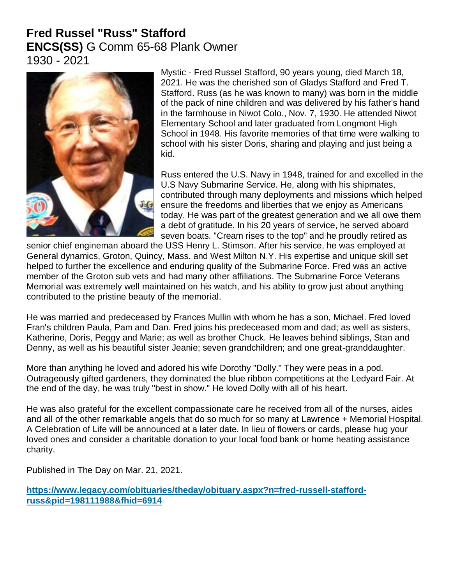## **Fred Russel "Russ" Stafford ENCS(SS)** G Comm 65-68 Plank Owner 1930 - 2021



Mystic - Fred Russel Stafford, 90 years young, died March 18, 2021. He was the cherished son of Gladys Stafford and Fred T. Stafford. Russ (as he was known to many) was born in the middle of the pack of nine children and was delivered by his father's hand in the farmhouse in Niwot Colo., Nov. 7, 1930. He attended Niwot Elementary School and later graduated from Longmont High School in 1948. His favorite memories of that time were walking to school with his sister Doris, sharing and playing and just being a kid.

Russ entered the U.S. Navy in 1948, trained for and excelled in the U.S Navy Submarine Service. He, along with his shipmates, contributed through many deployments and missions which helped ensure the freedoms and liberties that we enjoy as Americans today. He was part of the greatest generation and we all owe them a debt of gratitude. In his 20 years of service, he served aboard seven boats. "Cream rises to the top" and he proudly retired as

senior chief engineman aboard the USS Henry L. Stimson. After his service, he was employed at General dynamics, Groton, Quincy, Mass. and West Milton N.Y. His expertise and unique skill set helped to further the excellence and enduring quality of the Submarine Force. Fred was an active member of the Groton sub vets and had many other affiliations. The Submarine Force Veterans Memorial was extremely well maintained on his watch, and his ability to grow just about anything contributed to the pristine beauty of the memorial.

He was married and predeceased by Frances Mullin with whom he has a son, Michael. Fred loved Fran's children Paula, Pam and Dan. Fred joins his predeceased mom and dad; as well as sisters, Katherine, Doris, Peggy and Marie; as well as brother Chuck. He leaves behind siblings, Stan and Denny, as well as his beautiful sister Jeanie; seven grandchildren; and one great-granddaughter.

More than anything he loved and adored his wife Dorothy "Dolly." They were peas in a pod. Outrageously gifted gardeners, they dominated the blue ribbon competitions at the Ledyard Fair. At the end of the day, he was truly "best in show." He loved Dolly with all of his heart.

He was also grateful for the excellent compassionate care he received from all of the nurses, aides and all of the other remarkable angels that do so much for so many at Lawrence + Memorial Hospital. A Celebration of Life will be announced at a later date. In lieu of flowers or cards, please hug your loved ones and consider a charitable donation to your local food bank or home heating assistance charity.

Published in The Day on Mar. 21, 2021.

**[https://www.legacy.com/obituaries/theday/obituary.aspx?n=fred-russell-stafford](https://www.legacy.com/obituaries/theday/obituary.aspx?n=fred-russell-stafford-russ&pid=198111988&fhid=6914)[russ&pid=198111988&fhid=6914](https://www.legacy.com/obituaries/theday/obituary.aspx?n=fred-russell-stafford-russ&pid=198111988&fhid=6914)**